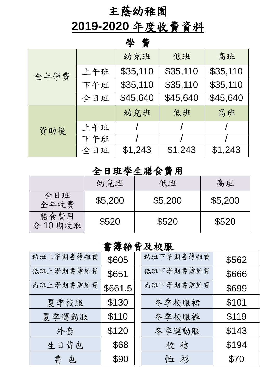## 主蔭幼稚園

# **2019-2020** 年度收費資料

#### 學 費

| 全年學費 |     | 幼兒班      | 低班       | 高班       |  |  |
|------|-----|----------|----------|----------|--|--|
|      | 上午班 | \$35,110 | \$35,110 | \$35,110 |  |  |
|      | 下午班 | \$35,110 | \$35,110 | \$35,110 |  |  |
|      | 全日班 | \$45,640 | \$45,640 | \$45,640 |  |  |
| 資助後  |     | 幼兒班      | 低班       | 高班       |  |  |
|      | 上午班 |          |          |          |  |  |
|      | 下午班 |          |          |          |  |  |
|      | 全日班 | \$1,243  | \$1,243  | \$1,243  |  |  |

#### 全日班學生膳食費用

| —————————————  |         |         |         |  |  |
|----------------|---------|---------|---------|--|--|
|                | 幼兒班     | 低班      | 高班      |  |  |
| 全日班<br>全年收費    | \$5,200 | \$5,200 | \$5,200 |  |  |
| 膳食費用<br>分10期收取 | \$520   | \$520   | \$520   |  |  |

#### 書簿雜費及校服

| 幼班上學期書簿雜費 | \$605   | 幼班下學期書簿雜費 | \$562 |
|-----------|---------|-----------|-------|
| 低班上學期書簿雜費 | \$651   | 低班下學期書簿雜費 | \$666 |
| 高班上學期書簿雜費 | \$661.5 | 高班下學期書簿雜費 | \$699 |
| 夏季校服      | \$130   | 冬季校服裙     | \$101 |
| 夏季運動服     | \$110   | 冬季校服褲     | \$119 |
| 外套        | \$120   | 冬季運動服     | \$143 |
| 生日背包      | \$68    | 校<br>樓    | \$194 |
| 書包        | \$90    | 恤衫        | \$70  |